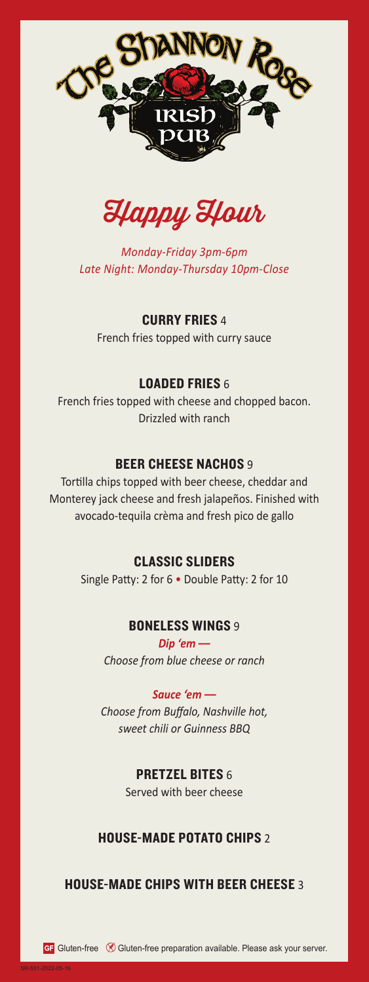

Happy Hour

*Monday-Friday 3pm-6pm Late Night: Monday-Thursday 10pm-Close*

CURRY FRIES 4

French fries topped with curry sauce

## LOADED FRIES 6

French fries topped with cheese and chopped bacon. Drizzled with ranch

### **BEER CHEESE NACHOS 9**

Tortilla chips topped with beer cheese, cheddar and Monterey jack cheese and fresh jalapeños. Finished with avocado-tequila crèma and fresh pico de gallo

#### CLASSIC SLIDERS

Single Patty: 2 for 6 • Double Patty: 2 for 10

### **BONELESS WINGS 9**

*Dip 'em –– Choose from blue cheese or ranch*

#### *Sauce 'em ––*

*Choose from Buffalo, Nashville hot, sweet chili or Guinness BBQ*

### PRETZEL BITES 6

Served with beer cheese

### HOUSE-MADE POTATO CHIPS 2

### HOUSE-MADE CHIPS WITH BEER CHEESE 3